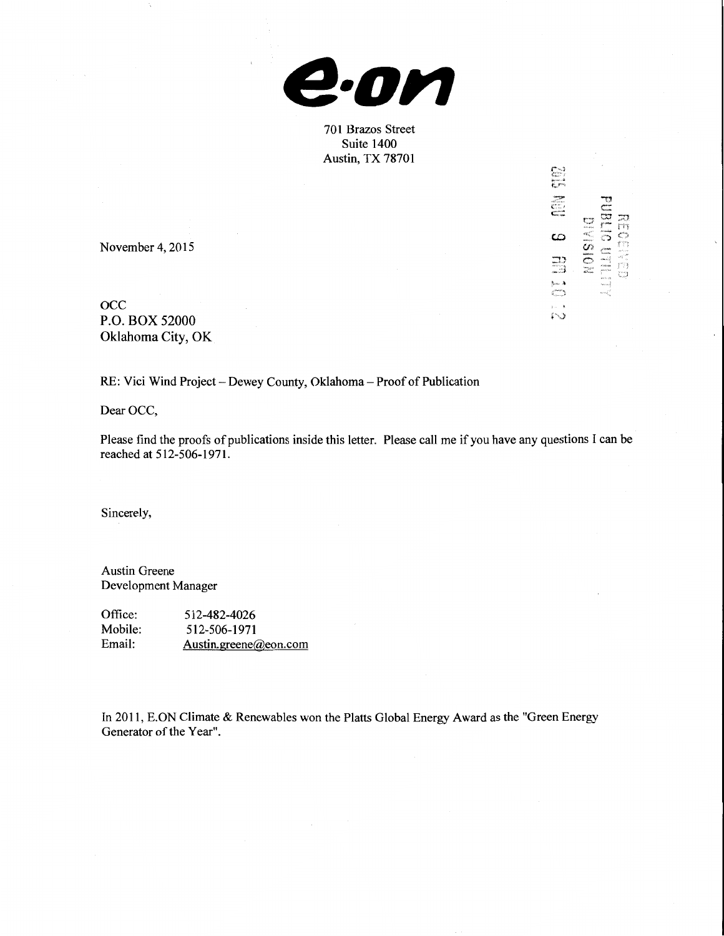

701 Brazos Street Suite 1400 Austin, TX 78701

~~:.: F~ ~

 $N01S1A10$ 

U. 6 M. 10

េះ

November 4, 2015

occ P.O. BOX 52000 Oklahoma City, OK

RE: Vici Wind Project- Dewey County, Oklahoma- Proof of Publication

Dear OCC,

Please find the proofs of publications inside this letter. Please call me if you have any questions I can be reached at 512-506-1971.

Sincerely,

Austin Greene Development Manager

Office: Mobile: Email: 512-482-4026 512-506-1971 Austin.greene@eon.com

In 2011, E.ON Climate & Renewables won the Platts Global Energy Award as the "Green Energy Generator of the Year".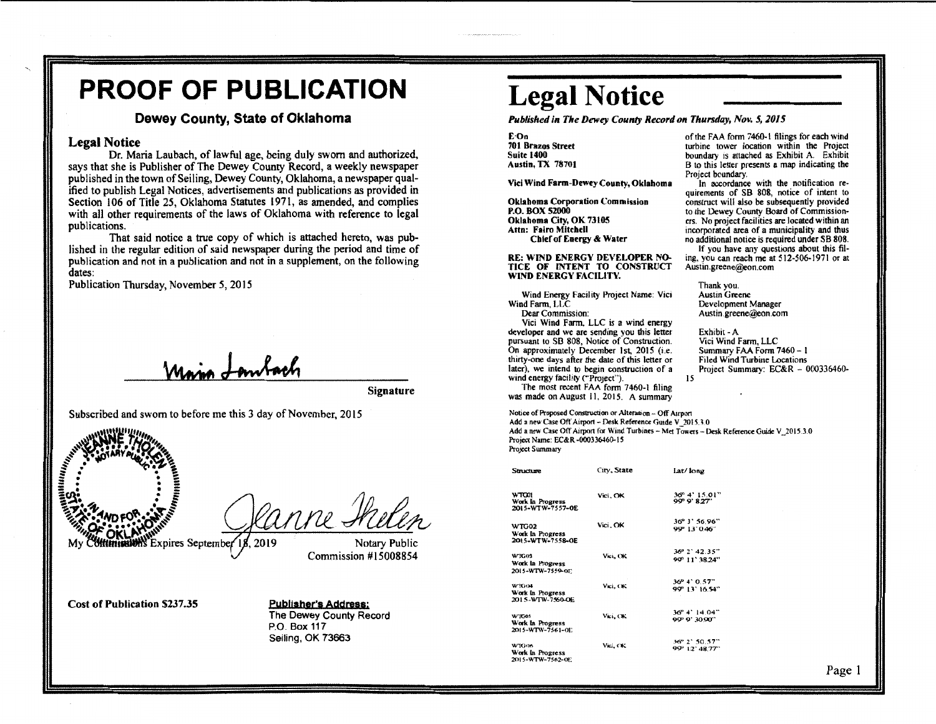## **PROOF OF PUBLICATION**

## Dewey County, State of Oklahoma

## Legal Notice

Dr. Maria Laubach, of lawful age, being duly sworn and authorized, says that she is Publisher of The Dewey County Record, a weekly newspaper published in the town of Seiling, Dewey County, Oklahoma, a newspaper qualified to publish Legal Notices, advertisements and publications as provided in Section 106 of Title 25, Oklahoma Statutes 1971, as amended, and complies with all other requirements of the laws of Oklahoma with reference to legal publications.

That said notice a true copy of which is attached hereto, was published in the regular edition of said newspaper during the period and time of publication and not in a publication and not in a supplement, on the following dates:

Publication Thursday, November 5, 2015

Signature



. . MARIE Clanne Helen

*<sup>1</sup>*lh!'" My Expires Septembe Notary Public Commission #15008854

Cost of Publication \$237.35

Publisher's Address: The Dewey County Record P.O. Box 117 Seiling, OK 73663

## **Legal Notice**

*Published in The Dewey County Record on Thursday, Nov. 5, 2015* 

E·On 701 Brazos Street Suite 1400 Austin, TX 78701

Vici Wind Farm-Dewey County, Oklahoma

Oklahoma Corporation Commission P.O. BOX 52000 Oklahoma City, OK 73105 Attn: Fairo Mitchell Chief of Energy & Water

RE: WIND ENERGY DEVELOPER NO. TICE OF INTENT TO CONSTRUCT WIND ENERGY FACILITY.

Wind Energy Facility Project Name: Vici Wind Farm, LLC

Dear Commission:

Vici Wind Farm. LLC is a wind energy developer and we are sending you this letter pursuant to SB 808, Notice of Construction. On approximately December 1st, 2015 (i.e. thirty-one days after the dale of this letter or later), we intend to begin construction of a wind energy facility ("Project").

was made on August II, 2015. A summary

of the FAA form 7460· I filings for each wind turbine tower location within the Project boundary 1s attached as Exhibit A. Exhibit B to this letter presents a map indicating the Project boundary.

In accordance with the notification re· quirements of SB 808, notice of intent to construct will also be subsequently provided to the Dewey County Board of Commission· ers. No project facilities are located within an incorporated area of a municipality and thus no additional notice is required under SB 808.

If you have any questions about this fil· ing, you can reach me at 512·506·1971 or at Austin.greene@eon.com

Thank.you. Austin Greene Development Manager<br>Austin greene@eon.com

Exhibit-A Vici Wind Farm, LLC Summary FAA Form 7460 - I Filed Wind Turbine Locations Project Summary: EC&R - 000336460-15

The most recent FAA form 7460·1 filing

Notice of Proposed Construction or Alteration - Off Airport Add a new Case Off Airport - Desk Reference Guide V\_2015.3.0

Add a new Case Off Airport for Wind Turbines -- Met Towers -- Desk Reference Guide V\_2015.3.0 Project Name: EC&R·000336460.15

Project Summary

| Structure                                     | City, State | lat/ long                       |
|-----------------------------------------------|-------------|---------------------------------|
| WTC01<br>Work In Progress<br>2015-WTW-7557-0E | Vici, OK    | 36° 4' 15.01"<br>99 9' 8.27"    |
| WTG02<br>Work in Progress<br>2015-WTW-7558-OE | Vici. OK    | 36° 3' 56.96"<br>99° 13' 046'   |
| WTG03<br>Work in Progress<br>2015-WTW-7559-0E | Vici, OK    | 36° 2' 42.35"<br>99° 11' 38.24" |
| WTG04<br>Work in Progress<br>2015-WTW-7560-OE | Vici, OK    | 36° 4' 0.57"<br>90° 13' 16.54"  |
| WTG05<br>Work In Progress<br>2015-WTW-7561-0E | Vici., OK   | 36° 4' 14.04"<br>99° 9' 30.90"  |
| WIG06<br>Work In Progress<br>2015-WTW-7562-OE | Vici, CK    | 36° 2' 50.57"<br>99° 12' 48.77" |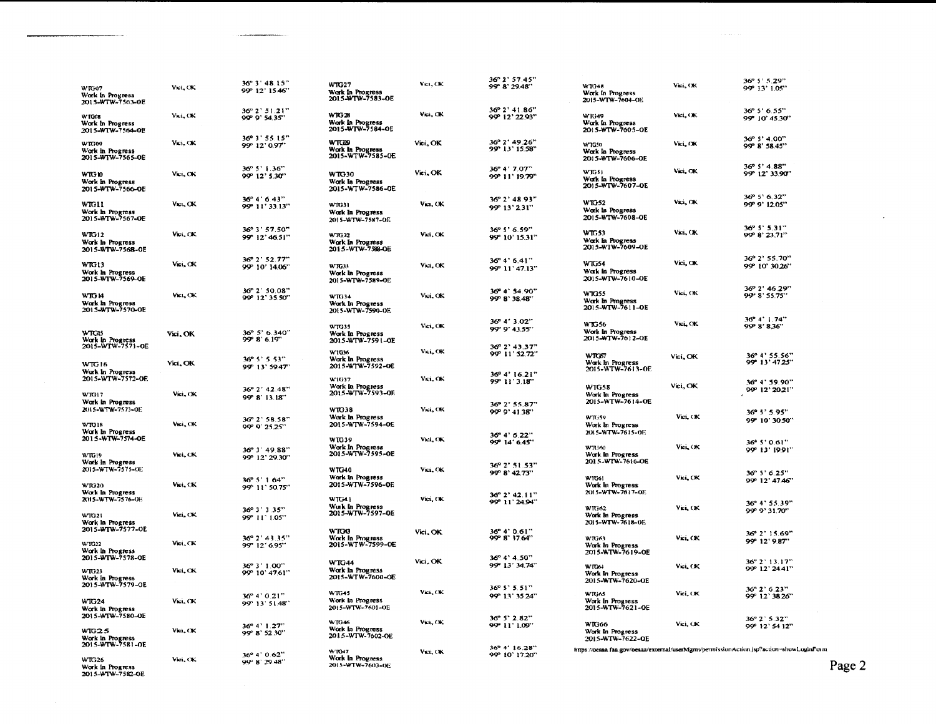|                                                                          |           |                                         |                                                          |           | 36° 2' 57.45"                         |                                                      |          | 36° 5' 5.29"                                                                            |
|--------------------------------------------------------------------------|-----------|-----------------------------------------|----------------------------------------------------------|-----------|---------------------------------------|------------------------------------------------------|----------|-----------------------------------------------------------------------------------------|
| WTG07<br>Work in Progress<br>2015-WTW-7563-OE                            | Vict. OK  | 36° 3' 48.15"<br>99° 12' 15.46"         | WTG27<br>Work In Progress<br>2015-WTW-7583-OE            | Vici, OK  | 99° 8' 29.48"                         | W1048<br>Work In Progress<br>2015-WTW-7604-OE        | Vici, OK | 99' 13' 1.05"                                                                           |
| WTG08<br>Work In Progress<br>2015-WTW-7564-OE                            | Vici, OK  | 36° 2' 51.21"<br>99" 9" 54.35"          | <b>WTG28</b><br>Work In Progress<br>2015-WTW-7584-OE     | Vei, CK   | 36° 2' 41.86"<br>99° 12' 22.93"       | W1G49<br>Work In Progress<br>2015-WTW-7605-OE        | Vici, OK | 36° 5' 6.55"<br>99° 10' 45.30"                                                          |
| WTG09<br>Work in Progress<br>2015-WTW-7565-OE                            | Vici, OK  | 36° 3' 55.15"<br>99° 12' 0.97"          | <b>WTG29</b><br>Work In Progress<br>2015-WTW-7585-0E     | Vici. OK  | 36° 2' 49.26"<br>99° 13' 15.58"       | <b>WTG50</b><br>Work In Progress<br>2015-WTW-7606-OE | Vici, OK | 36° 5' 4.00"<br>99° 8' 58.45"                                                           |
| WTG 10<br>Work in Progress<br>2015-WTW-7566-OE                           | Vici, OK  | $36^{\circ}5'1.36''$<br>99° 12' 5.30"   | WTG30<br>Work In Progress<br>2015-WTW-7586-OE            | Vici, OK  | 36° 4' 7.07"<br>99° 11' 19.79"        | WTG51<br>Work In Progress<br>20) 5-WTW-7607-OE       | Vici, OK | 36° 5' 4.88"<br>99° 12' 33.90"                                                          |
| WTG11<br>Work in Progress<br>2015-WTW-7567-OE                            | Vici, OK  | $36^{\circ}$ 4' 6.43"<br>99° 11' 33.13" | WR331<br>Work in Progress<br>2015-WTW-7587-OE            | Vict., OK | 36° 2' 48.93"<br>99° 13' 231"         | <b>WTG52</b><br>Work in Progress<br>2015-WTW-7608-OE | Vici, OK | 36° 5' 6.32"<br>99° 9' 12.05"                                                           |
| <b>WTG12</b><br>Work in Progress<br>2015-WTW-7568-OE                     | Vici. CK  | 36° 3' 57.50"<br>99" 12' 46.51"         | WTG32<br>Work In Progress<br>2015-WTW-7588-OE            | Vici, CK  | 36° 5' 6.59"<br>9ዎ 10' 15.31"         | WTG53<br>Work In Progress<br>2015-W1W-7609-OE        | Vici, OK | $36^{\circ}5^{\circ}5.31^{\prime\prime}$<br>99 8' 23.71"                                |
| WTG13<br>Work In Progress<br>2015-WTW-7569-OE                            | Vici, CK  | 36° 2' 52.77"<br>99" 10' 14.06"         | WTG33<br>Work In Progress<br>2015-WTW-7589-OE            | Vici, OK  | 36" 4" 6.41"<br>99° 11' 47.13"        | <b>WTG54</b><br>Wark in Progress<br>2015-WTW-7610-OE | Vici, OK | 36° 2' 55.70"<br>99° 10' 30.26"                                                         |
| WTG 14<br>Work in Progress<br>2015-WTW-7570-0E                           | Vici, OK  | 36° 2 50.08"<br>99° 12' 35.50"          | WTG34<br>Work In Progress<br>2015-WTW-7590-OE            | Vici, OK  | 36° 4' 54.90"<br>99 8' 38.48"         | WTG55<br>Wark In Progress<br>2015-WTW-7611-OE        | Vici. OK | 36° 2' 46.29"<br>99" 8" 55.75"                                                          |
| WTG15<br>Work In Progress                                                | Vici, OK  | 36° 5' 6.340"<br>99 8' 6.19"            | WTG35<br>Work In Progress<br>2015-WTW-7591-OE            | Vici, OK  | 36° 4' 3.02"<br>99" 9" 43.55"         | <b>WTG56</b><br>Work in Progress<br>2015-WTW-7612-OE | Viti, OK | 36° 4' 1.74"<br>99 8' 8.36"                                                             |
| 2015-WTW-7571-OE<br><b>WTG16</b>                                         | Vici, OK  | $36^{\circ}$ 5' 5.53"<br>99" 13" 59.47" | W1036<br>Work In Progress<br>2015-WTW-7592-OE            | Vici, OK  | 36° 2' 43.37"<br>99° 11' 52.72"       | WTCS7<br>Work In Progress                            | Vici, OK | 36° 4' 55.56"<br>99° 13' 47.25"                                                         |
| Work In Progress<br>2015-WTW-7572-OE                                     | Vici. OK  | 36° 2' 42.48"                           | W1G37<br>Work In Progress<br>2015-WTW-7593-OF            | Vici, OK  | 36° 4' 16.21"<br>99° 11' 3.18"        | 2015-WTW-7613-0E<br><b>WIG58</b>                     | Vici, OK | 36° 4' 59.90"<br>99° 12' 2021"                                                          |
| WIG17<br>Work in Progress<br>2015-WTW-7573-OE                            |           | 99 8 13.18"<br>36° 2' 58.58"            | WTG38<br>Work In Progress                                | Vici, OK  | 36° 2' 55.87"<br>99°9'4138"           | Work In Progress<br>2015-WTW-7614-OE<br>WTG59        | Vici, CK | 36° 5' 5.95"                                                                            |
| WTG18<br>Work In Progress<br>2015-WTW-7574-OE                            | Vici., OK | 99' 9' 25.25"                           | 2015-WTW-7594-OE<br>WTG39                                | Vici, CK  | 36° 4' 6.22"<br>9ም 14' 6.45'          | Work In Progress<br>2015-WTW-7615-OE                 |          | 99° 10' 30.50"<br>$36^{\circ}$ 5' 0.61"                                                 |
| WTG19<br>Work in Progress<br>2015-WTW-7575-OE                            | Vici. CK  | 36° 3' 49.88"<br>99° 12' 29.30"         | Work In Progress<br>2015-WTW-7595-OE<br>WTG40            | Vici, OK  | 36° 2' 51.53"                         | WR:60<br>Work In Progress<br>2015-WTW-7616-OE        | Vici, OK | 99° 13' 19.91"                                                                          |
| <b>WTG20</b><br>Work In Progress                                         | Vici, CK. | $36^{\circ}5'164''$<br>99° 11' 50.75"   | Work in Progress<br>2015-WTW-7596-OE                     |           | 99°8'42.73"<br>$36^{\circ}$ 2' 42.11" | W1061<br>Work in Progress<br>2015-WTW-7617-0E        | Vici, CK | 36° 5' 6.25"<br>99° 12' 47.46"                                                          |
| 2015-WTW-7576-OE<br><b>WTG21</b><br>Work in Progress                     | Vici. OK  | $36^{\circ}3'3.35''$<br>99" 11" 1.05"   | <b>WTG41</b><br>Wark In Progress<br>2015-WTW-7597-0E     | Vici, CK  | 99° 11' 24.94"                        | WIG62<br>Work In Progress<br>2015-WTW-7618-0E        | Vici, CK | 36° 4' 55.39"<br>99° 9' 31.70"                                                          |
| 2015-WTW-7577-OE<br>WTG12<br>Work in Progress                            | Vici, CK  | 36° 2' 43.35"<br>99" 12' 6.95"          | WTO <sub>3</sub><br>Work in Progress<br>2015-WTW-7599-0E | Vici, OK  | 36°4'0.61"<br>99° 8' 37.64"           | WK353<br>Work In Progress<br>2015-WTW-7619-OE        | Vri, CK  | 36° 2' 15.69"<br>99° 12' 9.87"                                                          |
| 2015-WTW-7578-OE<br>WT023<br>Work in Progress<br>2015-WTW-7579-OE        | Vici, CK  | 36° 3' 1.00"<br>99° 10' 47.61"          | <b>WTG44</b><br>Work in Progress<br>2015-WTW-7600-OE     | Vici, OK  | 36° 4' 4.50"<br>99° 13' 34.74"        | WTG64<br>Work In Progress<br>2015-WTW-7620-OE        | Vici, OK | 36" 2' 13.17"<br>99° 12' 24.41"                                                         |
| <b>WTG24</b><br>Work In Progress                                         | Vici, CK  | 36° 4' 0.21"<br>99" 13' 51.48"          | $WTG-5$<br>Work in Progress<br>2015-WTW-7601-OE          | Vici, OK  | 36° 5' 5.51"<br>99° 13' 35'24"        | WTG65<br>Work In Progress<br>2015-WTW-7621-OE        | Vici, OK | 36° 2' 6.23"<br>99" 12" 38.26"                                                          |
| 2015-WTW-7580-OE<br>WIG2.5<br>Work In Progress                           | Vici. CK  | 36° 4' 1.27"<br>99° 8' 52.30"           | WTG46<br>Work in Progress<br>2015-WTW-7602-OE            | Vici, OK  | 36° 5' 2.82"<br>99° 11' 1.09"         | WTG66<br>Work In Progress<br>2015-WTW-7622-QE        | Vici, OK | 36° 2' 5.32"<br>99° 12' 54 12"                                                          |
| 2015-WTW-7581-OE<br><b>WTG26</b><br>Work in Progress<br>2015-WTW-7582-OE | Vici. CK  | 369.4" 0.62"<br>99°8'29.48"             | WT047<br>Work In Progress<br>2015-WTW-7603-OE            | Vict., OK | 36° 4' 16.28"<br>99° 10' 17.20"       |                                                      |          | https://oeaaa.faa.gov/oeaaa/external/userMgmt/permissionAction.jsp?action=showLoginForm |

Page 2